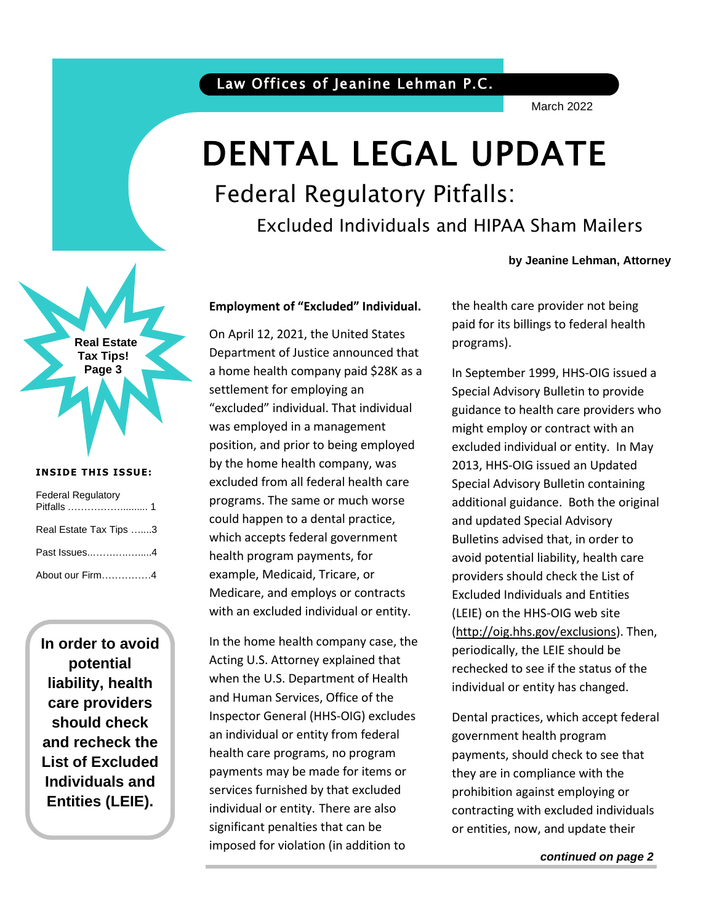March 2022

## DENTAL LEGAL UPDATE

### Federal Regulatory Pitfalls:

Excluded Individuals and HIPAA Sham Mailers

# **Real Estate Tax Tips! Page 3**

#### **INSIDE THIS ISSUE:**

| <b>Federal Regulatory</b> |
|---------------------------|
| Real Estate Tax Tips 3    |
| Past Issues4              |
| About our Firm4           |

**In order to avoid potential liability, health care providers should check and recheck the List of Excluded Individuals and Entities (LEIE).**

#### **Employment of "Excluded" Individual.**

On April 12, 2021, the United States Department of Justice announced that a home health company paid \$28K as a settlement for employing an "excluded" individual. That individual was employed in a management position, and prior to being employed by the home health company, was excluded from all federal health care programs. The same or much worse could happen to a dental practice, which accepts federal government health program payments, for example, Medicaid, Tricare, or Medicare, and employs or contracts with an excluded individual or entity.

In the home health company case, the Acting U.S. Attorney explained that when the U.S. Department of Health and Human Services, Office of the Inspector General (HHS-OIG) excludes an individual or entity from federal health care programs, no program payments may be made for items or services furnished by that excluded individual or entity. There are also significant penalties that can be imposed for violation (in addition to

#### **by Jeanine Lehman, Attorney**

the health care provider not being paid for its billings to federal health programs).

In September 1999, HHS-OIG issued a Special Advisory Bulletin to provide guidance to health care providers who might employ or contract with an excluded individual or entity. In May 2013, HHS-OIG issued an Updated Special Advisory Bulletin containing additional guidance. Both the original and updated Special Advisory Bulletins advised that, in order to avoid potential liability, health care providers should check the List of Excluded Individuals and Entities (LEIE) on the HHS-OIG web site [\(http://oig.hhs.gov/exclusions\)](http://oig.hhs.gov/exclusions). Then, periodically, the LEIE should be rechecked to see if the status of the individual or entity has changed.

Dental practices, which accept federal government health program payments, should check to see that they are in compliance with the prohibition against employing or contracting with excluded individuals or entities, now, and update their

*continued on page 2*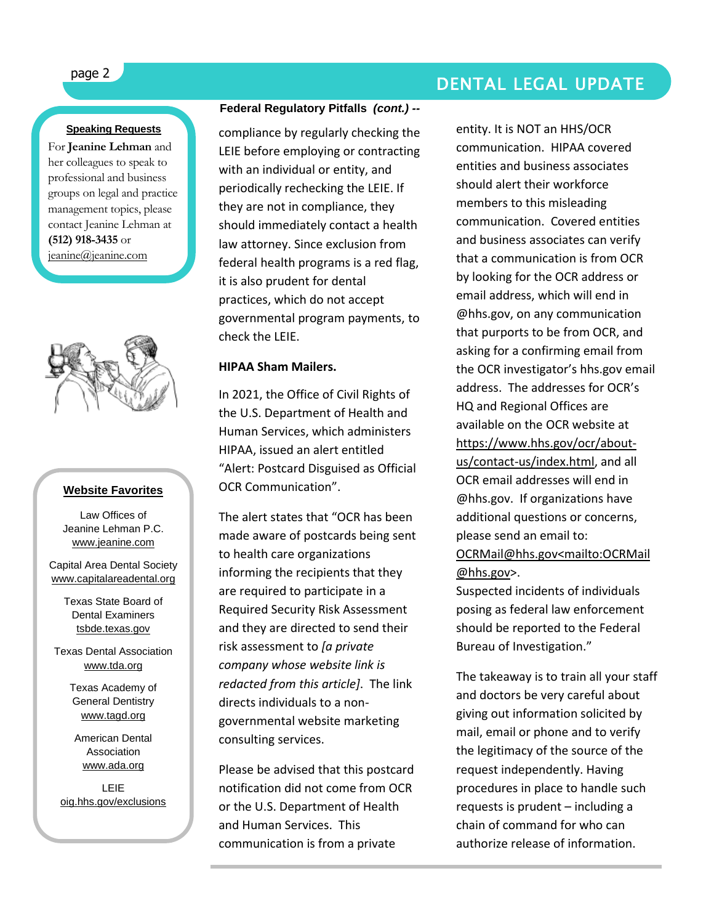#### **Speaking Requests**

For **Jeanine Lehman** and her colleagues to speak to professional and business groups on legal and practice management topics, please contact Jeanine Lehman at **(512) 918-3435** or [jeanine@jeanine.com](mailto:jeanine@jeanine.com)

ì



#### **Website Favorites**

Law Offices of Jeanine Lehman P.C. [www.jeanine.com](http://www.jeanine.com/)

Capital Area Dental Society [www.capitalareadental.org](http://www.capitalareadental.org/)

> Texas State Board of Dental Examiners tsbde.texas.gov

Texas Dental Association [www.tda.org](http://www.tda.org/)

> Texas Academy of General Dentistry [www.tagd.org](http://www.tagd.org/)

American Dental **Association** [www.ada.org](http://www.ada.org/)

LEIE oig.hhs.gov/exclusions

#### **Federal Regulatory Pitfalls** *(cont.) --*

compliance by regularly checking the LEIE before employing or contracting with an individual or entity, and periodically rechecking the LEIE. If they are not in compliance, they should immediately contact a health law attorney. Since exclusion from federal health programs is a red flag, it is also prudent for dental practices, which do not accept governmental program payments, to check the LEIE.

#### **HIPAA Sham Mailers.**

In 2021, the Office of Civil Rights of the U.S. Department of Health and Human Services, which administers HIPAA, issued an alert entitled "Alert: Postcard Disguised as Official OCR Communication".

The alert states that "OCR has been made aware of postcards being sent to health care organizations informing the recipients that they are required to participate in a Required Security Risk Assessment and they are directed to send their risk assessment to *[a private company whose website link is redacted from this article]*. The link directs individuals to a nongovernmental website marketing consulting services.

Please be advised that this postcard notification did not come from OCR or the U.S. Department of Health and Human Services. This communication is from a private

page 2 DENTAL LEGAL UPDATE

entity. It is NOT an HHS/OCR communication. HIPAA covered entities and business associates should alert their workforce members to this misleading communication. Covered entities and business associates can verify that a communication is from OCR by looking for the OCR address or email address, which will end in @hhs.gov, on any communication that purports to be from OCR, and asking for a confirming email from the OCR investigator's hhs.gov email address. The addresses for OCR's HQ and Regional Offices are available on the OCR website at [https://www.hhs.gov/ocr/about](https://www.hhs.gov/ocr/about-us/contact-us/index.html)[us/contact-us/index.html,](https://www.hhs.gov/ocr/about-us/contact-us/index.html) and all OCR email addresses will end in @hhs.gov. If organizations have additional questions or concerns, please send an email to: [OCRMail@hhs.gov<mailto:OCRMail](mailto:OCRMail@hhs.gov%3cmailto:OCRMail@hhs.gov) [@hhs.gov>](mailto:OCRMail@hhs.gov%3cmailto:OCRMail@hhs.gov).

Suspected incidents of individuals posing as federal law enforcement should be reported to the Federal Bureau of Investigation."

The takeaway is to train all your staff and doctors be very careful about giving out information solicited by mail, email or phone and to verify the legitimacy of the source of the request independently. Having procedures in place to handle such requests is prudent – including a chain of command for who can authorize release of information.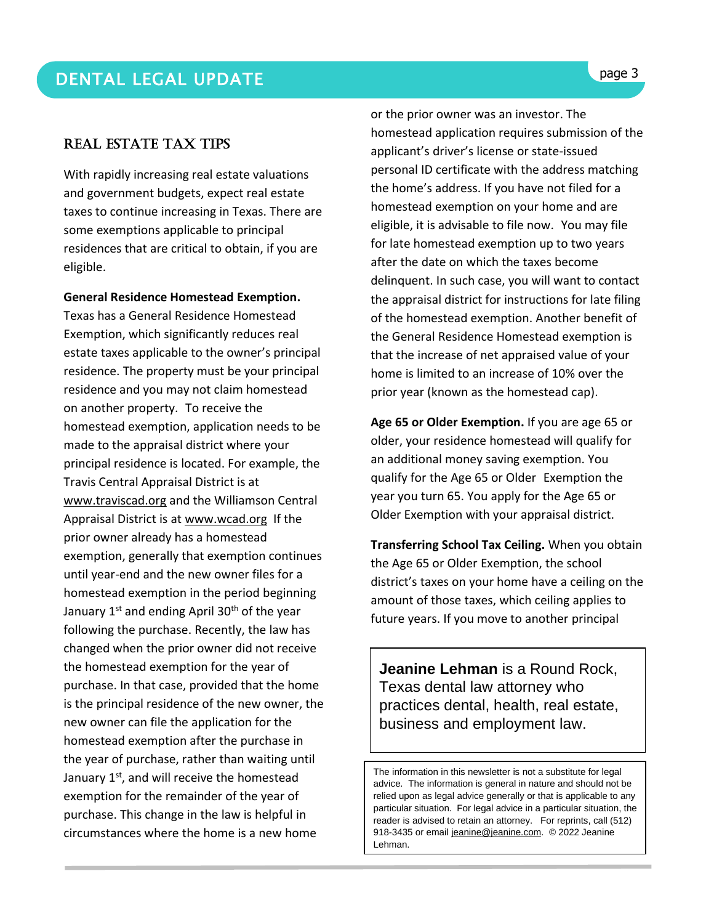#### Real Estate Tax Tips

With rapidly increasing real estate valuations and government budgets, expect real estate taxes to continue increasing in Texas. There are some exemptions applicable to principal residences that are critical to obtain, if you are eligible.

#### **General Residence Homestead Exemption.**

Texas has a General Residence Homestead Exemption, which significantly reduces real estate taxes applicable to the owner's principal residence. The property must be your principal residence and you may not claim homestead on another property. To receive the homestead exemption, application needs to be made to the appraisal district where your principal residence is located. For example, the Travis Central Appraisal District is at [www.traviscad.org](http://www.traviscad.org/) and the Williamson Central Appraisal District is at [www.wcad.org](http://www.wcad.org/) If the prior owner already has a homestead exemption, generally that exemption continues until year-end and the new owner files for a homestead exemption in the period beginning January  $1<sup>st</sup>$  and ending April 30<sup>th</sup> of the year following the purchase. Recently, the law has changed when the prior owner did not receive the homestead exemption for the year of purchase. In that case, provided that the home is the principal residence of the new owner, the new owner can file the application for the homestead exemption after the purchase in the year of purchase, rather than waiting until January 1<sup>st</sup>, and will receive the homestead exemption for the remainder of the year of purchase. This change in the law is helpful in circumstances where the home is a new home

or the prior owner was an investor. The homestead application requires submission of the applicant's driver's license or state-issued personal ID certificate with the address matching the home's address. If you have not filed for a homestead exemption on your home and are eligible, it is advisable to file now. You may file for late homestead exemption up to two years after the date on which the taxes become delinquent. In such case, you will want to contact the appraisal district for instructions for late filing of the homestead exemption. Another benefit of the General Residence Homestead exemption is that the increase of net appraised value of your home is limited to an increase of 10% over the prior year (known as the homestead cap).

**Age 65 or Older Exemption.** If you are age 65 or older, your residence homestead will qualify for an additional money saving exemption. You qualify for the Age 65 or Older Exemption the year you turn 65. You apply for the Age 65 or Older Exemption with your appraisal district.

 amount of those taxes, which ceiling applies to **Transferring School Tax Ceiling.** When you obtain the Age 65 or Older Exemption, the school district's taxes on your home have a ceiling on the future years. If you move to another principal

**Jeanine Lehman** is a Round Rock, Texas dental law attorney who practices dental, health, real estate, business and employment law.

The information in this newsletter is not a substitute for legal advice. The information is general in nature and should not be relied upon as legal advice generally or that is applicable to any particular situation. For legal advice in a particular situation, the reader is advised to retain an attorney. For reprints, call (512) 918-3435 or email [jeanine@jeanine.com.](mailto:jeanine@jeanine.com) © 2022 Jeanine Lehman.